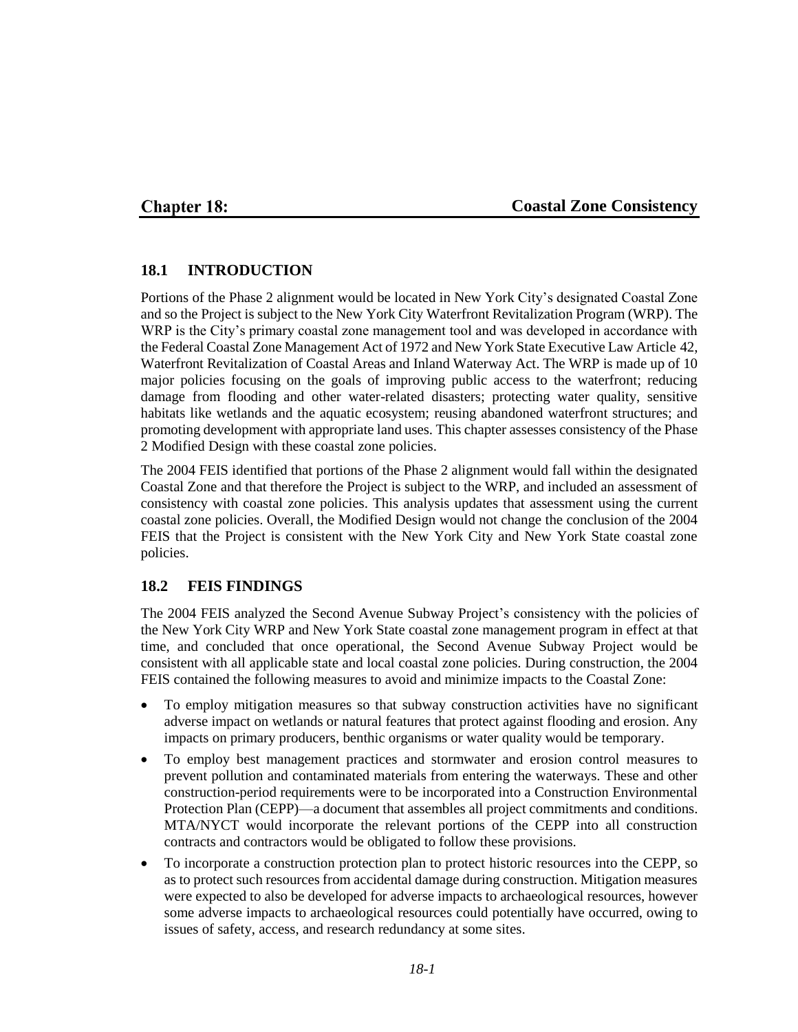### **Chapter 18:**

#### **Coastal Zone Consistency**

#### **18.1 INTRODUCTION**

Portions of the Phase 2 alignment would be located in New York City's designated Coastal Zone and so the Project is subject to the New York City Waterfront Revitalization Program (WRP). The WRP is the City's primary coastal zone management tool and was developed in accordance with the Federal Coastal Zone Management Act of 1972 and New York State Executive Law Article 42, Waterfront Revitalization of Coastal Areas and Inland Waterway Act. The WRP is made up of 10 major policies focusing on the goals of improving public access to the waterfront; reducing damage from flooding and other water-related disasters; protecting water quality, sensitive habitats like wetlands and the aquatic ecosystem; reusing abandoned waterfront structures; and promoting development with appropriate land uses. This chapter assesses consistency of the Phase 2 Modified Design with these coastal zone policies.

The 2004 FEIS identified that portions of the Phase 2 alignment would fall within the designated Coastal Zone and that therefore the Project is subject to the WRP, and included an assessment of consistency with coastal zone policies. This analysis updates that assessment using the current coastal zone policies. Overall, the Modified Design would not change the conclusion of the 2004 FEIS that the Project is consistent with the New York City and New York State coastal zone policies.

#### **18.2 FEIS FINDINGS**

The 2004 FEIS analyzed the Second Avenue Subway Project's consistency with the policies of the New York City WRP and New York State coastal zone management program in effect at that time, and concluded that once operational, the Second Avenue Subway Project would be consistent with all applicable state and local coastal zone policies. During construction, the 2004 FEIS contained the following measures to avoid and minimize impacts to the Coastal Zone:

- To employ mitigation measures so that subway construction activities have no significant adverse impact on wetlands or natural features that protect against flooding and erosion. Any impacts on primary producers, benthic organisms or water quality would be temporary.
- To employ best management practices and stormwater and erosion control measures to prevent pollution and contaminated materials from entering the waterways. These and other construction-period requirements were to be incorporated into a Construction Environmental Protection Plan (CEPP)—a document that assembles all project commitments and conditions. MTA/NYCT would incorporate the relevant portions of the CEPP into all construction contracts and contractors would be obligated to follow these provisions.
- To incorporate a construction protection plan to protect historic resources into the CEPP, so as to protect such resources from accidental damage during construction. Mitigation measures were expected to also be developed for adverse impacts to archaeological resources, however some adverse impacts to archaeological resources could potentially have occurred, owing to issues of safety, access, and research redundancy at some sites.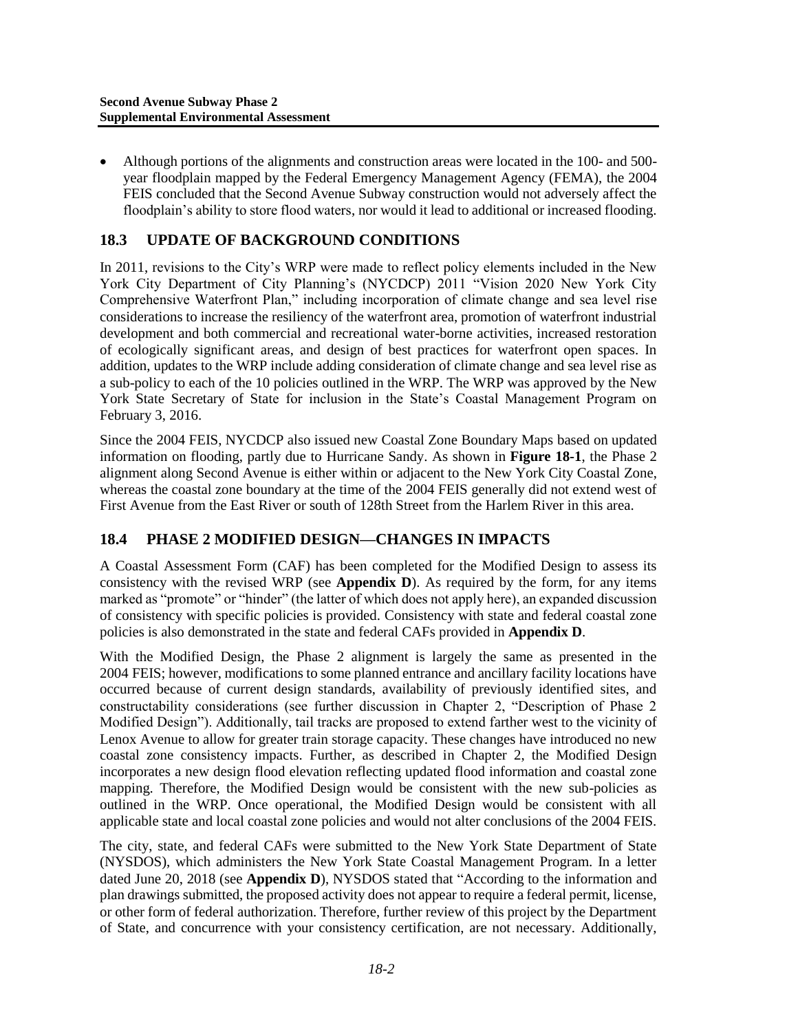Although portions of the alignments and construction areas were located in the 100- and 500 year floodplain mapped by the Federal Emergency Management Agency (FEMA), the 2004 FEIS concluded that the Second Avenue Subway construction would not adversely affect the floodplain's ability to store flood waters, nor would it lead to additional or increased flooding.

## **18.3 UPDATE OF BACKGROUND CONDITIONS**

In 2011, revisions to the City's WRP were made to reflect policy elements included in the New York City Department of City Planning's (NYCDCP) 2011 "Vision 2020 New York City Comprehensive Waterfront Plan," including incorporation of climate change and sea level rise considerations to increase the resiliency of the waterfront area, promotion of waterfront industrial development and both commercial and recreational water-borne activities, increased restoration of ecologically significant areas, and design of best practices for waterfront open spaces. In addition, updates to the WRP include adding consideration of climate change and sea level rise as a sub-policy to each of the 10 policies outlined in the WRP. The WRP was approved by the New York State Secretary of State for inclusion in the State's Coastal Management Program on February 3, 2016.

Since the 2004 FEIS, NYCDCP also issued new Coastal Zone Boundary Maps based on updated information on flooding, partly due to Hurricane Sandy. As shown in **Figure 18-1**, the Phase 2 alignment along Second Avenue is either within or adjacent to the New York City Coastal Zone, whereas the coastal zone boundary at the time of the 2004 FEIS generally did not extend west of First Avenue from the East River or south of 128th Street from the Harlem River in this area.

## **18.4 PHASE 2 MODIFIED DESIGN—CHANGES IN IMPACTS**

A Coastal Assessment Form (CAF) has been completed for the Modified Design to assess its consistency with the revised WRP (see **Appendix D**). As required by the form, for any items marked as "promote" or "hinder" (the latter of which does not apply here), an expanded discussion of consistency with specific policies is provided. Consistency with state and federal coastal zone policies is also demonstrated in the state and federal CAFs provided in **Appendix D**.

With the Modified Design, the Phase 2 alignment is largely the same as presented in the 2004 FEIS; however, modifications to some planned entrance and ancillary facility locations have occurred because of current design standards, availability of previously identified sites, and constructability considerations (see further discussion in Chapter 2, "Description of Phase 2 Modified Design"). Additionally, tail tracks are proposed to extend farther west to the vicinity of Lenox Avenue to allow for greater train storage capacity. These changes have introduced no new coastal zone consistency impacts. Further, as described in Chapter 2, the Modified Design incorporates a new design flood elevation reflecting updated flood information and coastal zone mapping. Therefore, the Modified Design would be consistent with the new sub-policies as outlined in the WRP. Once operational, the Modified Design would be consistent with all applicable state and local coastal zone policies and would not alter conclusions of the 2004 FEIS.

The city, state, and federal CAFs were submitted to the New York State Department of State (NYSDOS), which administers the New York State Coastal Management Program. In a letter dated June 20, 2018 (see **Appendix D**), NYSDOS stated that "According to the information and plan drawings submitted, the proposed activity does not appear to require a federal permit, license, or other form of federal authorization. Therefore, further review of this project by the Department of State, and concurrence with your consistency certification, are not necessary. Additionally,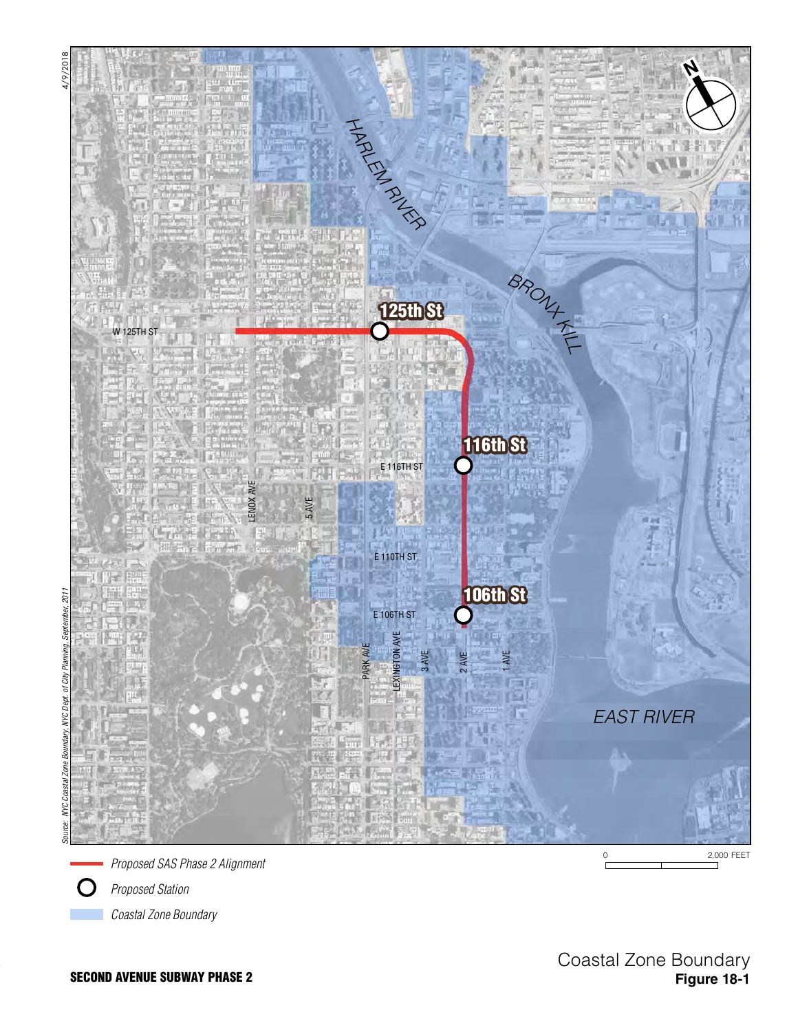



*Proposed Station*

*Coastal Zone Boundary*